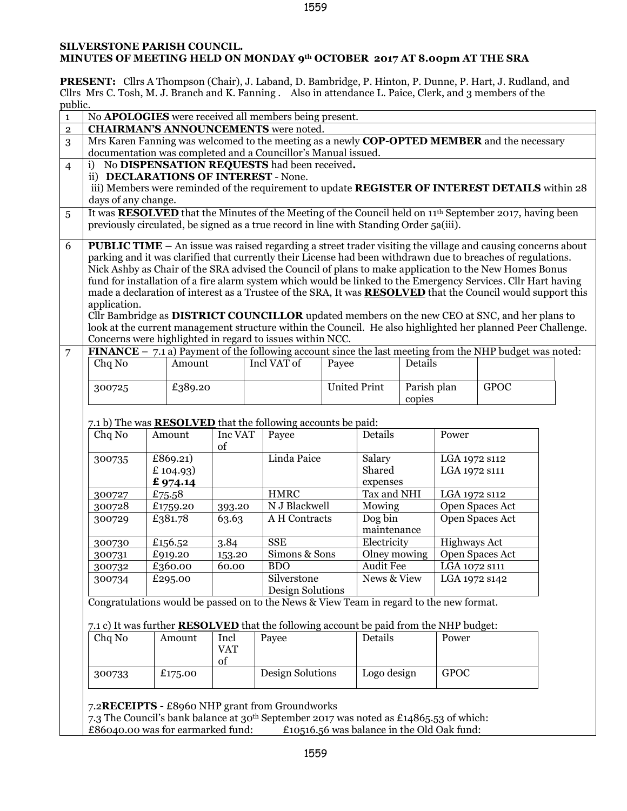## 1559

## **SILVERSTONE PARISH COUNCIL. MINUTES OF MEETING HELD ON MONDAY 9th OCTOBER 2017 AT 8.00pm AT THE SRA**

**PRESENT:** Cllrs A Thompson (Chair), J. Laband, D. Bambridge, P. Hinton, P. Dunne, P. Hart, J. Rudland, and Cllrs Mrs C. Tosh, M. J. Branch and K. Fanning . Also in attendance L. Paice, Clerk, and 3 members of the  $\ddotsc$ 

|                                                                                                                                                                                                                                      |  |                                      |            |  | No <b>APOLOGIES</b> were received all members being present.                                  |       |                     |             |                                |                                                                                                                            |  |
|--------------------------------------------------------------------------------------------------------------------------------------------------------------------------------------------------------------------------------------|--|--------------------------------------|------------|--|-----------------------------------------------------------------------------------------------|-------|---------------------|-------------|--------------------------------|----------------------------------------------------------------------------------------------------------------------------|--|
|                                                                                                                                                                                                                                      |  |                                      |            |  | <b>CHAIRMAN'S ANNOUNCEMENTS</b> were noted.                                                   |       |                     |             |                                |                                                                                                                            |  |
|                                                                                                                                                                                                                                      |  |                                      |            |  |                                                                                               |       |                     |             |                                | Mrs Karen Fanning was welcomed to the meeting as a newly COP-OPTED MEMBER and the necessary                                |  |
|                                                                                                                                                                                                                                      |  |                                      |            |  | documentation was completed and a Councillor's Manual issued.                                 |       |                     |             |                                |                                                                                                                            |  |
| i)                                                                                                                                                                                                                                   |  |                                      |            |  | No DISPENSATION REQUESTS had been received.                                                   |       |                     |             |                                |                                                                                                                            |  |
|                                                                                                                                                                                                                                      |  | ii) DECLARATIONS OF INTEREST - None. |            |  |                                                                                               |       |                     |             |                                |                                                                                                                            |  |
|                                                                                                                                                                                                                                      |  |                                      |            |  |                                                                                               |       |                     |             |                                | iii) Members were reminded of the requirement to update REGISTER OF INTEREST DETAILS within 28                             |  |
| days of any change.                                                                                                                                                                                                                  |  |                                      |            |  |                                                                                               |       |                     |             |                                |                                                                                                                            |  |
|                                                                                                                                                                                                                                      |  |                                      |            |  |                                                                                               |       |                     |             |                                | It was <b>RESOLVED</b> that the Minutes of the Meeting of the Council held on 11 <sup>th</sup> September 2017, having been |  |
|                                                                                                                                                                                                                                      |  |                                      |            |  | previously circulated, be signed as a true record in line with Standing Order 5a(iii).        |       |                     |             |                                |                                                                                                                            |  |
|                                                                                                                                                                                                                                      |  |                                      |            |  |                                                                                               |       |                     |             |                                |                                                                                                                            |  |
|                                                                                                                                                                                                                                      |  |                                      |            |  |                                                                                               |       |                     |             |                                | <b>PUBLIC TIME - An issue was raised regarding a street trader visiting the village and causing concerns about</b>         |  |
| parking and it was clarified that currently their License had been withdrawn due to breaches of regulations.<br>Nick Ashby as Chair of the SRA advised the Council of plans to make application to the New Homes Bonus               |  |                                      |            |  |                                                                                               |       |                     |             |                                |                                                                                                                            |  |
|                                                                                                                                                                                                                                      |  |                                      |            |  |                                                                                               |       |                     |             |                                |                                                                                                                            |  |
| fund for installation of a fire alarm system which would be linked to the Emergency Services. Cllr Hart having<br>made a declaration of interest as a Trustee of the SRA, It was <b>RESOLVED</b> that the Council would support this |  |                                      |            |  |                                                                                               |       |                     |             |                                |                                                                                                                            |  |
| application.                                                                                                                                                                                                                         |  |                                      |            |  |                                                                                               |       |                     |             |                                |                                                                                                                            |  |
|                                                                                                                                                                                                                                      |  |                                      |            |  |                                                                                               |       |                     |             |                                | Cllr Bambridge as DISTRICT COUNCILLOR updated members on the new CEO at SNC, and her plans to                              |  |
|                                                                                                                                                                                                                                      |  |                                      |            |  |                                                                                               |       |                     |             |                                | look at the current management structure within the Council. He also highlighted her planned Peer Challenge.               |  |
|                                                                                                                                                                                                                                      |  |                                      |            |  | Concerns were highlighted in regard to issues within NCC.                                     |       |                     |             |                                |                                                                                                                            |  |
|                                                                                                                                                                                                                                      |  |                                      |            |  |                                                                                               |       |                     |             |                                | FINANCE $-$ 7.1 a) Payment of the following account since the last meeting from the NHP budget was noted:                  |  |
| Chq No                                                                                                                                                                                                                               |  | Amount                               |            |  | Incl VAT of                                                                                   | Payee |                     | Details     |                                |                                                                                                                            |  |
|                                                                                                                                                                                                                                      |  |                                      |            |  |                                                                                               |       |                     |             |                                |                                                                                                                            |  |
| 300725                                                                                                                                                                                                                               |  | £389.20                              |            |  |                                                                                               |       | <b>United Print</b> | Parish plan |                                | <b>GPOC</b>                                                                                                                |  |
|                                                                                                                                                                                                                                      |  |                                      |            |  |                                                                                               |       |                     | copies      |                                |                                                                                                                            |  |
| Chq No                                                                                                                                                                                                                               |  | Amount                               | Inc VAT    |  | 7.1 b) The was <b>RESOLVED</b> that the following accounts be paid:                           |       |                     |             |                                |                                                                                                                            |  |
|                                                                                                                                                                                                                                      |  |                                      |            |  | Payee                                                                                         |       | Details             |             | Power                          |                                                                                                                            |  |
|                                                                                                                                                                                                                                      |  |                                      | of         |  | Linda Paice                                                                                   |       |                     |             |                                |                                                                                                                            |  |
| 300735                                                                                                                                                                                                                               |  | £869.21)<br>£ 104.93)                |            |  |                                                                                               |       | Salary<br>Shared    |             | LGA 1972 s112<br>LGA 1972 s111 |                                                                                                                            |  |
|                                                                                                                                                                                                                                      |  | £974.14                              |            |  |                                                                                               |       | expenses            |             |                                |                                                                                                                            |  |
| 300727                                                                                                                                                                                                                               |  | £75.58                               |            |  | <b>HMRC</b>                                                                                   |       | Tax and NHI         |             | LGA 1972 s112                  |                                                                                                                            |  |
| 300728                                                                                                                                                                                                                               |  | £1759.20                             | 393.20     |  | N J Blackwell                                                                                 |       | Mowing              |             |                                | Open Spaces Act                                                                                                            |  |
| 300729                                                                                                                                                                                                                               |  | £381.78                              | 63.63      |  | A H Contracts                                                                                 |       | Dog bin             |             |                                | Open Spaces Act                                                                                                            |  |
|                                                                                                                                                                                                                                      |  |                                      |            |  |                                                                                               |       | maintenance         |             |                                |                                                                                                                            |  |
| 300730                                                                                                                                                                                                                               |  | £156.52                              | 3.84       |  | <b>SSE</b>                                                                                    |       | Electricity         |             | <b>Highways Act</b>            |                                                                                                                            |  |
| 300731                                                                                                                                                                                                                               |  | £919.20                              | 153.20     |  | Simons & Sons                                                                                 |       | Olney mowing        |             |                                | Open Spaces Act                                                                                                            |  |
| 300732                                                                                                                                                                                                                               |  | £360.00                              | 60.00      |  | <b>BDO</b>                                                                                    |       | <b>Audit Fee</b>    |             | LGA 1072 S111                  |                                                                                                                            |  |
| 300734                                                                                                                                                                                                                               |  | £295.00                              |            |  | Silverstone                                                                                   |       | News & View         |             | LGA 1972 s142                  |                                                                                                                            |  |
|                                                                                                                                                                                                                                      |  |                                      |            |  | Design Solutions                                                                              |       |                     |             |                                |                                                                                                                            |  |
|                                                                                                                                                                                                                                      |  |                                      |            |  | Congratulations would be passed on to the News & View Team in regard to the new format.       |       |                     |             |                                |                                                                                                                            |  |
|                                                                                                                                                                                                                                      |  |                                      |            |  | 7.1 c) It was further <b>RESOLVED</b> that the following account be paid from the NHP budget: |       |                     |             |                                |                                                                                                                            |  |
| Chq No                                                                                                                                                                                                                               |  | Amount                               | Incl       |  | Payee                                                                                         |       | Details             |             | Power                          |                                                                                                                            |  |
|                                                                                                                                                                                                                                      |  |                                      | <b>VAT</b> |  |                                                                                               |       |                     |             |                                |                                                                                                                            |  |
|                                                                                                                                                                                                                                      |  |                                      | of         |  |                                                                                               |       |                     |             |                                |                                                                                                                            |  |
|                                                                                                                                                                                                                                      |  | £175.00                              |            |  | Design Solutions                                                                              |       | Logo design         |             | <b>GPOC</b>                    |                                                                                                                            |  |
| 300733                                                                                                                                                                                                                               |  |                                      |            |  |                                                                                               |       |                     |             |                                |                                                                                                                            |  |

£86040.00 was for earmarked fund:  $£10516.56$  was balance in the Old Oak fund: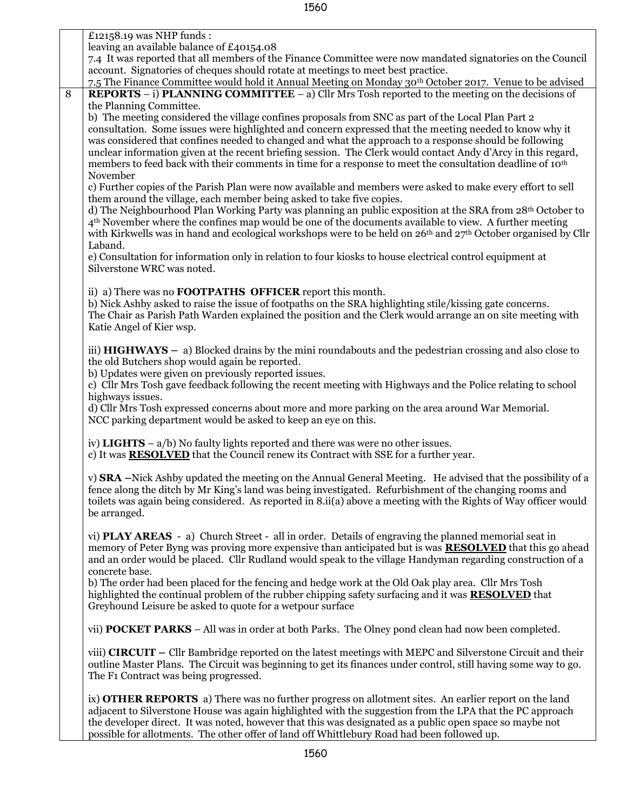|   | £12158.19 was NHP funds:                                                                                                                                                                                                     |
|---|------------------------------------------------------------------------------------------------------------------------------------------------------------------------------------------------------------------------------|
|   | leaving an available balance of £40154.08                                                                                                                                                                                    |
|   | 7.4 It was reported that all members of the Finance Committee were now mandated signatories on the Council                                                                                                                   |
|   | account. Signatories of cheques should rotate at meetings to meet best practice.                                                                                                                                             |
|   | 7.5 The Finance Committee would hold it Annual Meeting on Monday 30 <sup>th</sup> October 2017. Venue to be advised                                                                                                          |
| 8 | <b>REPORTS</b> – i) <b>PLANNING COMMITTEE</b> – a) Cllr Mrs Tosh reported to the meeting on the decisions of                                                                                                                 |
|   | the Planning Committee.                                                                                                                                                                                                      |
|   | b) The meeting considered the village confines proposals from SNC as part of the Local Plan Part 2<br>consultation. Some issues were highlighted and concern expressed that the meeting needed to know why it                |
|   | was considered that confines needed to changed and what the approach to a response should be following                                                                                                                       |
|   | unclear information given at the recent briefing session. The Clerk would contact Andy d'Arcy in this regard,                                                                                                                |
|   | members to feed back with their comments in time for a response to meet the consultation deadline of 10 <sup>th</sup>                                                                                                        |
|   | November                                                                                                                                                                                                                     |
|   | c) Further copies of the Parish Plan were now available and members were asked to make every effort to sell                                                                                                                  |
|   | them around the village, each member being asked to take five copies.                                                                                                                                                        |
|   | d) The Neighbourhood Plan Working Party was planning an public exposition at the SRA from 28th October to                                                                                                                    |
|   | $4th$ November where the confines map would be one of the documents available to view. A further meeting                                                                                                                     |
|   | with Kirkwells was in hand and ecological workshops were to be held on $26th$ and $27th$ October organised by Cllr                                                                                                           |
|   | Laband.                                                                                                                                                                                                                      |
|   | e) Consultation for information only in relation to four kiosks to house electrical control equipment at                                                                                                                     |
|   | Silverstone WRC was noted.                                                                                                                                                                                                   |
|   | ii) a) There was no <b>FOOTPATHS OFFICER</b> report this month.                                                                                                                                                              |
|   | b) Nick Ashby asked to raise the issue of footpaths on the SRA highlighting stile/kissing gate concerns.                                                                                                                     |
|   | The Chair as Parish Path Warden explained the position and the Clerk would arrange an on site meeting with                                                                                                                   |
|   | Katie Angel of Kier wsp.                                                                                                                                                                                                     |
|   |                                                                                                                                                                                                                              |
|   | iii) $HIGHWAYS - a) Blocked \, \,$ drains by the mini roundabouts and the pedestrian crossing and also close to                                                                                                              |
|   | the old Butchers shop would again be reported.                                                                                                                                                                               |
|   | b) Updates were given on previously reported issues.                                                                                                                                                                         |
|   | c) Cllr Mrs Tosh gave feedback following the recent meeting with Highways and the Police relating to school                                                                                                                  |
|   | highways issues.                                                                                                                                                                                                             |
|   | d) Cllr Mrs Tosh expressed concerns about more and more parking on the area around War Memorial.                                                                                                                             |
|   | NCC parking department would be asked to keep an eye on this.                                                                                                                                                                |
|   | iv) LIGHTS $- a/b$ ) No faulty lights reported and there was were no other issues.                                                                                                                                           |
|   | c) It was <b>RESOLVED</b> that the Council renew its Contract with SSE for a further year.                                                                                                                                   |
|   |                                                                                                                                                                                                                              |
|   | v) SRA –Nick Ashby updated the meeting on the Annual General Meeting. He advised that the possibility of a                                                                                                                   |
|   | fence along the ditch by Mr King's land was being investigated. Refurbishment of the changing rooms and                                                                                                                      |
|   | toilets was again being considered. As reported in 8.ii(a) above a meeting with the Rights of Way officer would                                                                                                              |
|   | be arranged.                                                                                                                                                                                                                 |
|   |                                                                                                                                                                                                                              |
|   | vi) <b>PLAY AREAS</b> - a) Church Street - all in order. Details of engraving the planned memorial seat in<br>memory of Peter Byng was proving more expensive than anticipated but is was <b>RESOLVED</b> that this go ahead |
|   | and an order would be placed. Cllr Rudland would speak to the village Handyman regarding construction of a                                                                                                                   |
|   | concrete base.                                                                                                                                                                                                               |
|   | b) The order had been placed for the fencing and hedge work at the Old Oak play area. Cllr Mrs Tosh                                                                                                                          |
|   | highlighted the continual problem of the rubber chipping safety surfacing and it was <b>RESOLVED</b> that                                                                                                                    |
|   | Greyhound Leisure be asked to quote for a wetpour surface                                                                                                                                                                    |
|   |                                                                                                                                                                                                                              |
|   | vii) <b>POCKET PARKS</b> – All was in order at both Parks. The Olney pond clean had now been completed.                                                                                                                      |
|   | viii) CIRCUIT – Cllr Bambridge reported on the latest meetings with MEPC and Silverstone Circuit and their                                                                                                                   |
|   | outline Master Plans. The Circuit was beginning to get its finances under control, still having some way to go.                                                                                                              |
|   | The F1 Contract was being progressed.                                                                                                                                                                                        |
|   |                                                                                                                                                                                                                              |
|   | ix) <b>OTHER REPORTS</b> a) There was no further progress on allotment sites. An earlier report on the land                                                                                                                  |
|   | adjacent to Silverstone House was again highlighted with the suggestion from the LPA that the PC approach                                                                                                                    |
|   | the developer direct. It was noted, however that this was designated as a public open space so maybe not                                                                                                                     |
|   | possible for allotments. The other offer of land off Whittlebury Road had been followed up.                                                                                                                                  |